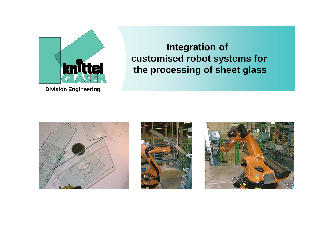

**Integration of customised robot systems forthe processing of sheet glass**





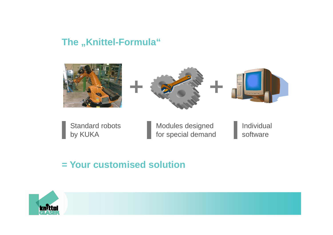### The "Knittel-Formula"







Standard robotsby KUKA

Modules designed for special demand Individual software

### **= Your customised solution**

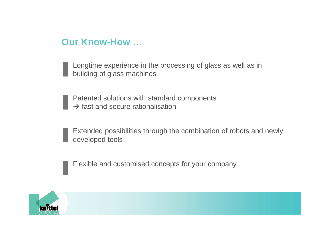#### **Our Know-How …**

Longtime experience in the processing of glass as well as in building of glass machines

Patented solutions with standard components $\rightarrow$  fast and secure rationalisation

Extended possibilities through the combination of robots and newly developed tools

Flexible and customised concepts for your company

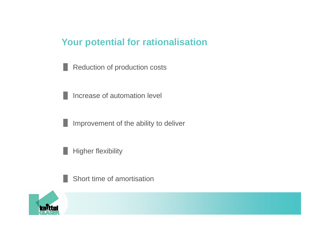### **Your potential for rationalisation**

Reduction of production costsн

Increase of automation levelу.

Improvement of the ability to deliverH

Higher flexibilityI.

Short time of amortisation

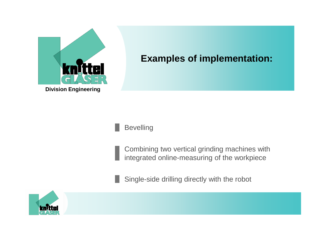

# **Examples of implementation:**



Combining two vertical grinding machines with integrated online-measuring of the workpiece

Single-side drilling directly with the robot

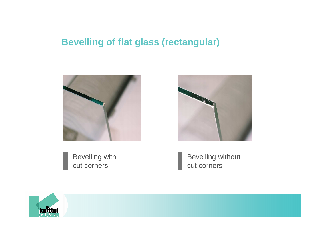## **Bevelling of flat glass (rectangular)**





Bevelling with cut corners

Bevelling without cut corners

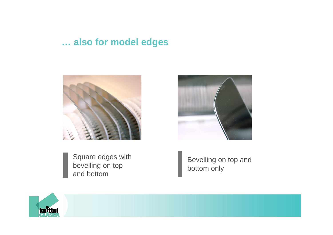### **… also for model edges**





Square edges with bevelling on top and bottom

Bevelling on top and bottom only

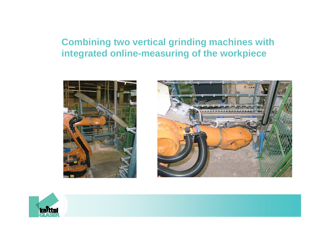# **Combining two vertical grinding machines with integrated online-measuring of the workpiece**





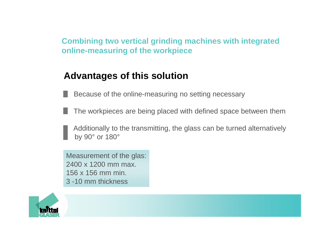**Combining two vertical grinding machines with integrated online-measuring of the workpiece**

# **Advantages of this solution**

Because of the online-measuring no setting necessary

The workpieces are being placed with defined space between them

Additionally to the transmitting, the glass can be turned alternatively by 90° or 180°

Measurement of the glas:2400 x 1200 mm max.156 x 156 mm min.3 -10 mm thickness

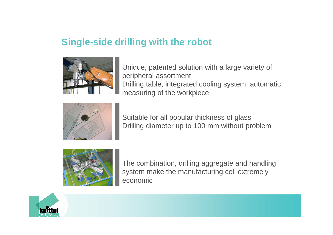## **Single-side drilling with the robot**



Unique, patented solution with a large variety of peripheral assortmentDrilling table, integrated cooling system, automatic measuring of the workpiece



Suitable for all popular thickness of glassDrilling diameter up to 100 mm without problem



The combination, drilling aggregate and handling system make the manufacturing cell extremely economic

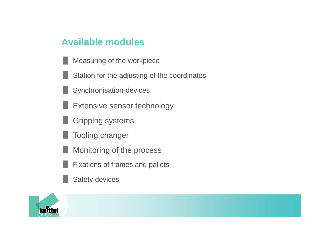#### **Available modules**

- Measuring of the workpiece
- Station for the adjusting of the coordinates
- Synchronisation-devices
- Extensive sensor technology
- Gripping systems
- Tooling changer
- Monitoring of the process
- Fixations of frames and pallets
- Safety devices